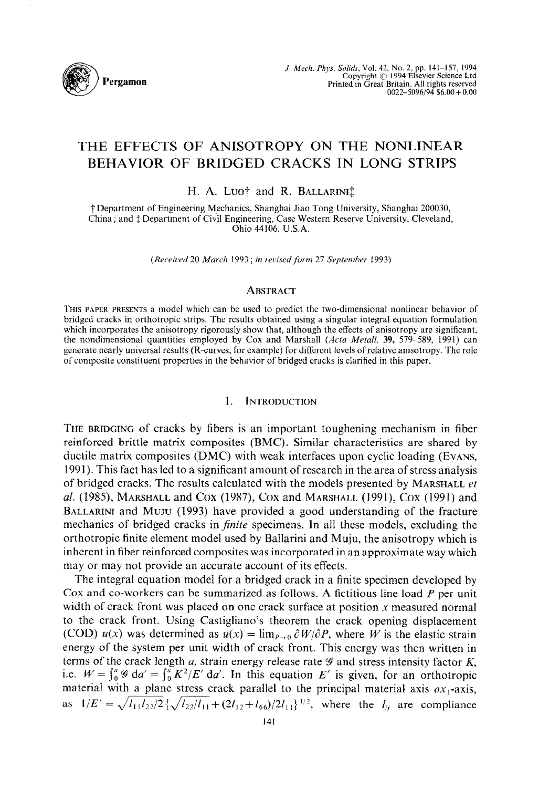

# **THE EFFECTS OF ANISOTROPY ON THE NONLINEAR BEHAVIOR OF BRIDGED CRACKS IN LONG STRIPS**

H. A. Luot and R. BALLARINI<sup>†</sup>

f Department of Engineering Mechanics, Shanghai Jiao Tong University, Shanghai 200030, China; and  $\ddagger$  Department of Civil Engineering, Case Western Reserve University, Cleveland, Ohio 44106, U.S.A.

(Received 20 March 1993; in revised form 27 September 1993)

#### ABSTRACT

**THIS PAPER PRESENTS a** model which can be used to predict the two-dimensional nonlinear behavior of bridged cracks in orthotropic strips. The results obtained using a singular integral equation formulation which incorporates the anisotropy rigorously show that, although the effects of anisotropy are significant. the nondimensional quantities employed by Cox and Marshall *(Acfu Metail.* 39, 579-589, 1991) can generate nearly universal results (R-curves, for example) for different levels of relative anisotropy. The role of composite constituent properties in the behavior of bridged cracks is clarified in this paper.

## 1. INTRODUCTION

THE BRIDGING of cracks by fibers is an important toughening mechanism in fiber reinforced brittle matrix composites (BMC). Similar characteristics are shared by ductile matrix composites (DMC) with weak interfaces upon cyclic loading (EVANS, 1991). This fact has led to a significant amount of research in the area of stress analysis of bridged cracks. The results calculated with the models presented by MARSHALL *et al.* (1985), MARSHALL and Cox (1987), Cox and MARSHALL (1991), Cox (1991) and BALLARINI and MUJU (1993) have provided a good understanding of the fracture mechanics of bridged cracks in *finite* specimens. In all these models, excluding the orthotropic finite element model used by Ballarini and Muju, the anisotropy which is inherent in fiber reinforced composites was incorporated in an approximate way which may or may not provide an accurate account of its effects.

The integral equation model for a bridged crack in a finite specimen developed by Cox and co-workers can be summarized as follows. A fictitious line load  $P$  per unit width of crack front was placed on one crack surface at position  $x$  measured normal to the crack front. Using Castigliano's theorem the crack opening displacement (COD)  $u(x)$  was determined as  $u(x) = \lim_{P\to 0} \partial W/\partial P$ , where *W* is the elastic strain energy of the system per unit width of crack front. This energy was then written in terms of the crack length  $a$ , strain energy release rate  $\mathscr G$  and stress intensity factor  $K$ , i.e.  $W = \int_0^a \mathcal{G} \, da' = \int_0^a K^2/E' \, da'$ . In this equation *E'* is given, for an orthotropic material with a plane stress crack parallel to the principal material axis  $ox_1$ -axis, as  $1/E' = \sqrt{l_{11}l_{22}/2} \left\{ \sqrt{l_{22}/l_{11}} + (2l_{12}+l_{66})/2l_{11} \right\}^{1/2}$ , where the  $l_{ij}$  are compliance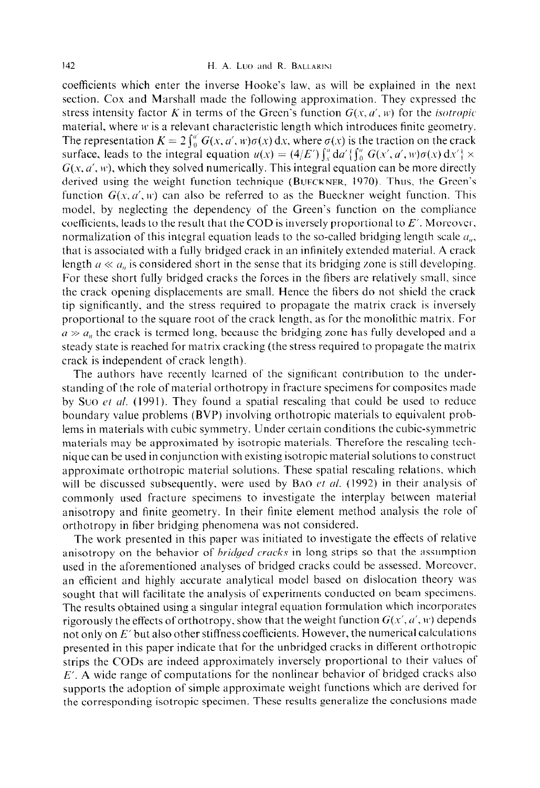coefficients which enter the inverse Hooke's law, as will be explained in the next section. COX and Marshall made the following approximation. They expressed the stress intensity factor K in terms of the Green's function  $G(x, a', w)$  for the *isotropic* material, where  $w$  is a relevant characteristic length which introduces finite geometry. The representation  $K = 2 \int_0^{a'} G(x, a', w)\sigma(x) dx$ , where  $\sigma(x)$  is the traction on the crack surface, leads to the integral equation  $u(x) = (4/E') \int_x^a da' \{ \int_0^a G(x', a', w) \sigma(x) dx' \} \times$  $G(x, a', w)$ , which they solved numerically. This integral equation can be more directly derived using the weight function technique (BUECKNER, 1970). Thus, the Green's function  $G(x, a', w)$  can also be referred to as the Bueckner weight function. This model, by neglecting the dependency of the Green's function on the compliance coefficients, leads to the result that the COD is inversely proportional to  $E'$ . Moreover, normalization of this integral equation leads to the so-called bridging length scale  $a_{\mu}$ , that is associated with a fully bridged crack in an infinitely extended material. A crack length  $a \ll a_n$  is considered short in the sense that its bridging zone is still developing. For these short fully bridged cracks the forces **in** the fibers are relatively small. since the crack opening displacements are small. Hence the fibers do not shield the crack tip significantly, and the stress required to propagate the matrix crack is inversely proportional to the square root of the crack length, as for the monolithic matrix. For  $a \gg a_n$ , the crack is termed long, because the bridging zone has fully developed and a steady state is reached for matrix cracking (the stress required **to** propagate the matrix crack is independent of crack length).

The authors have recently learned of the significant contribution to the understanding of the role of material orthotropy in fracture specimens for composites made by Suo *et al.* (1991). They found a spatial rescaling that could be used to reduce boundary **value** problems (BVP) involving orthotropic materials to equivalent problems in materials with cubic symmetry. Under certain conditions the cubic-symmetric materials may be approximated by isotropic materials. Therefore the rescaling technique can be used in conjunction with existing isotropic material solutions to construct approximate orthotropic material solutions. These spatial resealing relations. which will be discussed subsequently, were used by BAO et al. (1992) in their analysis of commonly used fracture specimens to investigate the interplay between tnateriaf anisotropy and finite geometry. In their finite element method analysis the role of orthotropy in fiber bridging phenomena was not considered.

The work presented in this paper was initiated to investigate the effects of relative anisotropy on the behavior of *bridged cracks* in long strips so that the assumption used in the aforementioned analyses of bridged cracks could be assessed. Morcovcr, an cflicient and highly accurate analytical model based on dislocation theory was sought that will facilitate the analysis of experiments conducted on beam spccimcns. The results obtained using a singular integral equation formulation which incorporates rigorously the effects of orthotropy, show that the weight function  $G(x', a', w)$  depends not only on *E'* but also other stiffness coefficients. However, the numerical calculations presented in this paper indicate that for the unbridged cracks in different orthotropic strips the CODs are indeed approximately inversely proportional to their values of  $E'$ . A wide range of computations for the nonlinear behavior of bridged cracks also supports the adoption of simple approximate weight functions which are derived for the corresponding isotropic specimen. These results generalize the conclusions made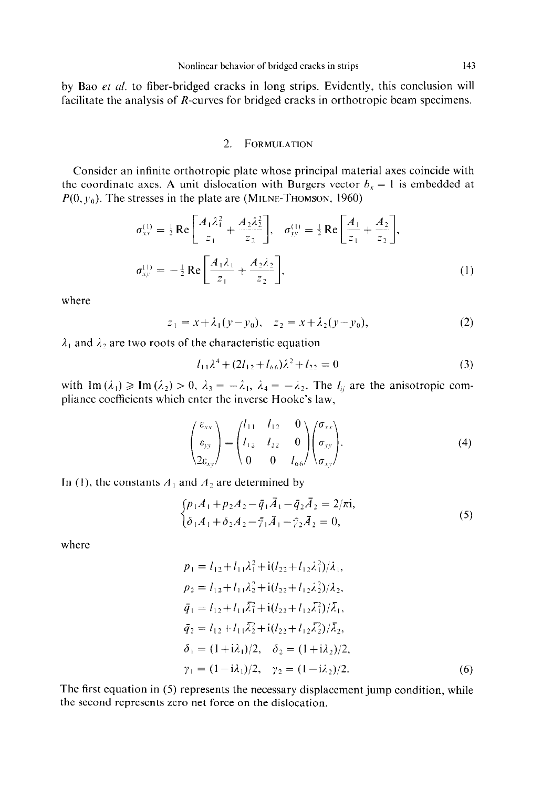by Bao et al. to fiber-bridged cracks in long strips. Evidently, this conclusion will facilitate the analysis of R-curves for bridged cracks in orthotropic beam specimens.

#### 2. **FORMULATION**

Consider an infinite orthotropic plate whose principal material axes coincide with the coordinate axes. A unit dislocation with Burgers vector  $b_x = 1$  is embedded at  $P(0, y_0)$ . The stresses in the plate are **(MILNE-THOMSON, 1960)** 

$$
\sigma_{xx}^{(1)} = \frac{1}{2} \text{Re} \left[ \frac{A_1 \lambda_1^2}{z_1} + \frac{A_2 \lambda_2^2}{z_2} \right], \quad \sigma_{yy}^{(1)} = \frac{1}{2} \text{Re} \left[ \frac{A_1}{z_1} + \frac{A_2}{z_2} \right],
$$
\n
$$
\sigma_{xy}^{(1)} = -\frac{1}{2} \text{Re} \left[ \frac{A_1 \lambda_1}{z_1} + \frac{A_2 \lambda_2}{z_2} \right],
$$
\n(1)

where

$$
z_1 = x + \lambda_1(y - y_0), \quad z_2 = x + \lambda_2(y - y_0), \tag{2}
$$

 $\lambda_1$  and  $\lambda_2$  are two roots of the characteristic equation

$$
l_{11}\lambda^4 + (2l_{12} + l_{66})\lambda^2 + l_{22} = 0 \tag{3}
$$

with Im  $(\lambda_1) \geq \text{Im}(\lambda_2) > 0$ ,  $\lambda_3 = -\lambda_1$ ,  $\lambda_4 = -\lambda_2$ . The  $l_{ij}$  are the anisotropic compliance coefficients which enter the inverse Hooke's law,

$$
\begin{pmatrix} \varepsilon_{xx} \\ \varepsilon_{yy} \\ 2\varepsilon_{xy} \end{pmatrix} = \begin{pmatrix} l_{11} & l_{12} & 0 \\ l_{12} & l_{22} & 0 \\ 0 & 0 & l_{66} \end{pmatrix} \begin{pmatrix} \sigma_{xx} \\ \sigma_{yy} \\ \sigma_{xy} \end{pmatrix}.
$$
 (4)

In (1), the constants  $A_1$  and  $A_2$  are determined by

$$
\begin{cases} p_1 A_1 + p_2 A_2 - \bar{q}_1 \bar{A}_1 - \bar{q}_2 \bar{A}_2 = 2/\pi i, \\ \delta_1 A_1 + \delta_2 A_2 - \bar{\gamma}_1 \bar{A}_1 - \bar{\gamma}_2 \bar{A}_2 = 0, \end{cases}
$$
 (5)

where

$$
p_1 = l_{12} + l_{11}\lambda_1^2 + i(l_{22} + l_{12}\lambda_1^2)/\lambda_1,
$$
  
\n
$$
p_2 = l_{12} + l_{11}\lambda_2^2 + i(l_{22} + l_{12}\lambda_2^2)/\lambda_2,
$$
  
\n
$$
\bar{q}_1 = l_{12} + l_{11}\overline{\lambda}_1^2 + i(l_{22} + l_{12}\overline{\lambda}_1^2)/\overline{\lambda}_1,
$$
  
\n
$$
\bar{q}_2 = l_{12} + l_{11}\overline{\lambda}_2^2 + i(l_{22} + l_{12}\overline{\lambda}_2^2)/\overline{\lambda}_2,
$$
  
\n
$$
\delta_1 = (1 + i\lambda_1)/2, \quad \delta_2 = (1 + i\lambda_2)/2,
$$
  
\n
$$
\gamma_1 = (1 - i\lambda_1)/2, \quad \gamma_2 = (1 - i\lambda_2)/2.
$$
  
\n(6)

The first equation in (5) represents the necessary displacement jump condition, while the second represents zero net force on the dislocation.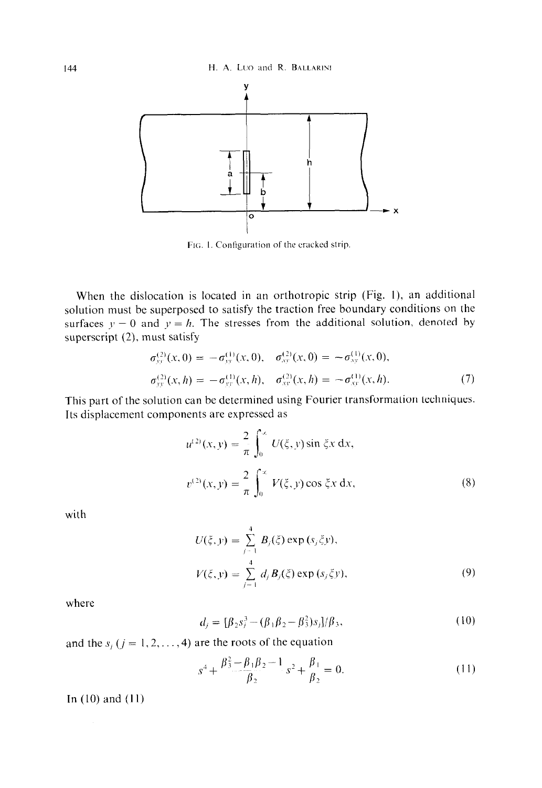

FIG. 1. Configuration of the cracked strip.

When the dislocation is located in an orthotropic strip (Fig. I), an additional solution must be superposed to satisfy the traction free boundary conditions on the surfaces  $y = 0$  and  $y = h$ . The stresses from the additional solution, denoted by superscript (2), must satisfy

$$
\sigma_{yy}^{(2)}(x,0) = -\sigma_{yy}^{(1)}(x,0), \quad \sigma_{xy}^{(2)}(x,0) = -\sigma_{xy}^{(1)}(x,0), \n\sigma_{yy}^{(2)}(x,h) = -\sigma_{yy}^{(1)}(x,h), \quad \sigma_{xy}^{(2)}(x,h) = -\sigma_{xy}^{(1)}(x,h).
$$
\n(7)

This part of the solution can be determined using Fourier transformation techniques. Its displacement components are expressed as

$$
u^{(2)}(x, y) = \frac{2}{\pi} \int_0^{\infty} U(\xi, y) \sin \xi x \, dx,
$$
  

$$
v^{(2)}(x, y) = \frac{2}{\pi} \int_0^{\infty} V(\xi, y) \cos \xi x \, dx,
$$
 (8)

with

$$
U(\xi, y) = \sum_{j=1}^{4} B_{j}(\xi) \exp(s_{j} \xi y),
$$
  

$$
V(\xi, y) = \sum_{j=1}^{4} d_{j} B_{j}(\xi) \exp(s_{j} \xi y),
$$
 (9)

where

$$
d_j = [\beta_2 s_j^3 - (\beta_1 \beta_2 - \beta_3^2) s_j] / \beta_3,
$$
 (10)

and the  $s_j$  ( $j = 1, 2, ..., 4$ ) are the roots of the equation

$$
s^4 + \frac{\beta_3^2 - \beta_1 \beta_2 - 1}{\beta_2} s^2 + \frac{\beta_1}{\beta_2} = 0.
$$
 (11)

In  $(10)$  and  $(11)$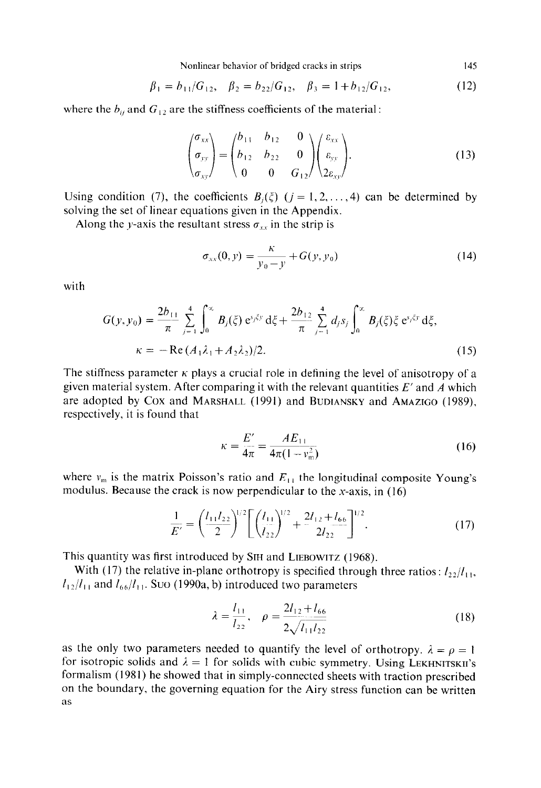Nonlinear behavior of bridged cracks in strips 145

$$
\beta_1 = b_{11}/G_{12}, \quad \beta_2 = b_{22}/G_{12}, \quad \beta_3 = 1 + b_{12}/G_{12}, \tag{12}
$$

where the  $b_{ij}$  and  $G_{12}$  are the stiffness coefficients of the material :

$$
\begin{pmatrix} \sigma_{xx} \\ \sigma_{yy} \\ \sigma_{xy} \end{pmatrix} = \begin{pmatrix} b_{11} & b_{12} & 0 \\ b_{12} & b_{22} & 0 \\ 0 & 0 & G_{12} \end{pmatrix} \begin{pmatrix} \varepsilon_{xx} \\ \varepsilon_{yy} \\ 2\varepsilon_{xy} \end{pmatrix} . \tag{13}
$$

Using condition (7), the coefficients  $B_i(\xi)$  ( $j = 1, 2, ..., 4$ ) can be determined by solving the set of linear equations given in the Appendix.

Along the y-axis the resultant stress  $\sigma_{xx}$  in the strip is

$$
\sigma_{xx}(0, y) = \frac{\kappa}{y_0 - y} + G(y, y_0)
$$
\n(14)

with

$$
G(y, y_0) = \frac{2b_{11}}{\pi} \sum_{j=1}^4 \int_0^\infty B_j(\xi) e^{y_j \xi y} d\xi + \frac{2b_{12}}{\pi} \sum_{j=1}^4 d_j s_j \int_0^\infty B_j(\xi) \xi e^{y_j \xi y} d\xi,
$$
  
\n
$$
\kappa = -\operatorname{Re}(A_1 \lambda_1 + A_2 \lambda_2)/2.
$$
 (15)

The stiffness parameter  $\kappa$  plays a crucial role in defining the level of anisotropy of a given material system. After comparing it with the relevant quantities *E'* and A which are adopted by Cox and MARSHALL (1991) and BUDIANSKY and AMAZIGO (1989), respectively, it is found that

$$
\kappa = \frac{E'}{4\pi} = \frac{AE_{11}}{4\pi(1 - v_{\rm m}^2)}
$$
(16)

where  $v_m$  is the matrix Poisson's ratio and  $E_{11}$  the longitudinal composite Young's modulus. Because the crack is now perpendicular to the x-axis, in  $(16)$ 

$$
\frac{1}{E'} = \left(\frac{l_{11}l_{22}}{2}\right)^{1/2} \left[\left(\frac{l_{11}}{l_{22}}\right)^{1/2} + \frac{2l_{12} + l_{66}}{2l_{22}}\right]^{1/2}.
$$
\n(17)

This quantity was first introduced by **SIH** and LIEBOWITZ (1968).

With (17) the relative in-plane orthotropy is specified through three ratios:  $l_2/l_{11}$ ,  $l_{12}/l_{11}$  and  $l_{66}/l_{11}$ . Suo (1990a, b) introduced two parameters

$$
\lambda = \frac{l_{11}}{l_{22}}, \quad \rho = \frac{2l_{12} + l_{66}}{2\sqrt{l_{11}l_{22}}} \tag{18}
$$

as the only two parameters needed to quantify the level of orthotropy.  $\lambda = \rho = 1$ for isotropic solids and  $\lambda = 1$  for solids with cubic symmetry. Using LEKHNITSKII's formalism (1981) he showed that in simply-connected sheets with traction prescribed on the boundary, the governing equation for the Airy stress function can be written as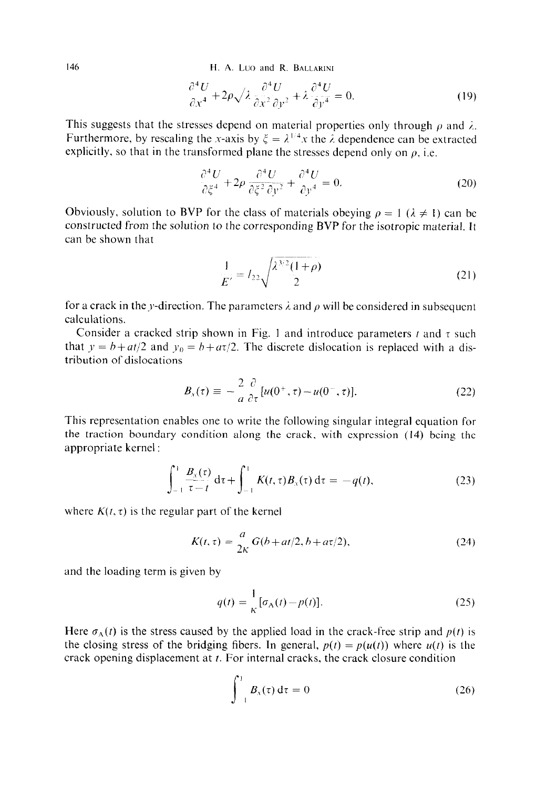146 **H. A. Luo** and **R. BALLAKINI** 

$$
\frac{\partial^4 U}{\partial x^4} + 2\rho \sqrt{\lambda} \frac{\partial^4 U}{\partial x^2 \partial y^2} + \lambda \frac{\partial^4 U}{\partial y^4} = 0.
$$
 (19)

This suggests that the stresses depend on material properties only through  $\rho$  and  $\lambda$ . Furthermore, by rescaling the x-axis by  $\xi = \lambda^{1/4}x$  the  $\lambda$  dependence can be extracted explicitly, so that in the transformed plane the stresses depend only on  $\rho$ , i.e.

$$
\frac{\partial^4 U}{\partial \xi^4} + 2\rho \frac{\partial^4 U}{\partial \xi^2 \partial y^2} + \frac{\partial^4 U}{\partial y^4} = 0.
$$
 (20)

Obviously, solution to BVP for the class of materials obeying  $\rho = 1$  ( $\lambda \neq 1$ ) can be constructed from the solution to the corresponding BVP for the isotropic material. It can be shown that

$$
\frac{1}{E'} = I_{22} \sqrt{\frac{\lambda^{3/2} (1+\rho)}{2}}
$$
 (21)

for a crack in the y-direction. The parameters  $\lambda$  and  $\rho$  will be considered in subsequent calculations.

Consider a cracked strip shown in Fig. 1 and introduce parameters  $t$  and  $\tau$  such that  $y = b + at/2$  and  $y_0 = b + at/2$ . The discrete dislocation is replaced with a distribution of dislocations

$$
B_{x}(\tau) \equiv -\frac{2}{a} \frac{\partial}{\partial \tau} [u(0^{+}, \tau) - u(0^{-}, \tau)]. \tag{22}
$$

This representation enables one to write the following singular integral equation for the traction boundary condition along the crack, with expression (14) being the appropriate kernel :

$$
\int_{-1}^{1} \frac{B_x(\tau)}{\tau - t} d\tau + \int_{-1}^{1} K(t, \tau) B_x(\tau) d\tau = -q(t),
$$
 (23)

where  $K(t, \tau)$  is the regular part of the kernel

$$
K(t,\tau) = \frac{a}{2\kappa} G(b+at/2, b+a\tau/2),
$$
 (24)

and the loading term is given by

$$
q(t) = \frac{1}{\kappa} [\sigma_{\mathbf{A}}(t) - p(t)].
$$
\n(25)

Here  $\sigma_A(t)$  is the stress caused by the applied load in the crack-free strip and  $p(t)$  is the closing stress of the bridging fibers. In general,  $p(t) = p(u(t))$  where  $u(t)$  is the crack opening displacement at  $t$ . For internal cracks, the crack closure condition

$$
\int_{-1}^{1} B_x(\tau) d\tau = 0 \qquad (26)
$$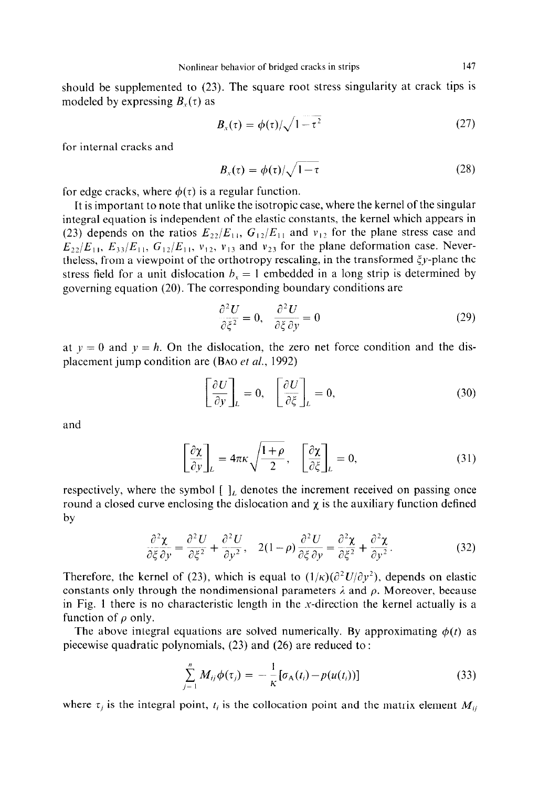should be supplemented to (23). The square root stress singularity at crack tips is modeled by expressing  $B_{y}(\tau)$  as

$$
B_x(\tau) = \phi(\tau) / \sqrt{1 - \tau^2} \tag{27}
$$

for internal cracks and

$$
B_x(\tau) = \phi(\tau)/\sqrt{1-\tau} \tag{28}
$$

for edge cracks, where  $\phi(\tau)$  is a regular function.

It is important to note that unlike the isotropic case, where the kernel of the singular integral equation is independent of the elastic constants, the kernel which appears in (23) depends on the ratios  $E_{22}/E_{11}$ ,  $G_{12}/E_{11}$  and  $v_{12}$  for the plane stress case and  $E_{22}/E_{11}$ ,  $E_{33}/E_{11}$ ,  $G_{12}/E_{11}$ ,  $v_{12}$ ,  $v_{13}$  and  $v_{23}$  for the plane deformation case. Nevertheless, from a viewpoint of the orthotropy rescaling, in the transformed  $\xi y$ -plane the stress field for a unit dislocation  $b_x = 1$  embedded in a long strip is determined by governing equation (20). The corresponding boundary conditions are

$$
\frac{\partial^2 U}{\partial \xi^2} = 0, \quad \frac{\partial^2 U}{\partial \xi \partial y} = 0 \tag{29}
$$

at  $y = 0$  and  $y = h$ . On the dislocation, the zero net force condition and the displacement jump condition are (BAO *et al.,* 1992)

$$
\left[\frac{\partial U}{\partial y}\right]_L = 0, \quad \left[\frac{\partial U}{\partial \xi}\right]_L = 0,\tag{30}
$$

and

$$
\left[\frac{\partial \chi}{\partial y}\right]_L = 4\pi\kappa \sqrt{\frac{1+\rho}{2}}, \quad \left[\frac{\partial \chi}{\partial \xi}\right]_L = 0,\tag{31}
$$

respectively, where the symbol  $[\,]_L$  denotes the increment received on passing once round a closed curve enclosing the dislocation and  $\chi$  is the auxiliary function defined by

$$
\frac{\partial^2 \chi}{\partial \xi \partial y} = \frac{\partial^2 U}{\partial \xi^2} + \frac{\partial^2 U}{\partial y^2}, \quad 2(1 - \rho) \frac{\partial^2 U}{\partial \xi \partial y} = \frac{\partial^2 \chi}{\partial \xi^2} + \frac{\partial^2 \chi}{\partial y^2}.
$$
 (32)

Therefore, the kernel of (23), which is equal to  $(1/\kappa)(\partial^2 U/\partial y^2)$ , depends on elastic constants only through the nondimensional parameters  $\lambda$  and  $\rho$ . Moreover, because in Fig. 1 there is no characteristic length in the x-direction the kernel actually is a function of  $\rho$  only.

The above integral equations are solved numerically. By approximating  $\phi(t)$  as piecewise quadratic polynomials, (23) and (26) are reduced to :

$$
\sum_{j=1}^{n} M_{ij} \phi(\tau_j) = -\frac{1}{\kappa} [\sigma_{\Lambda}(t_i) - p(u(t_i))]
$$
\n(33)

where  $\tau_i$  is the integral point,  $t_i$  is the collocation point and the matrix element  $M_{ii}$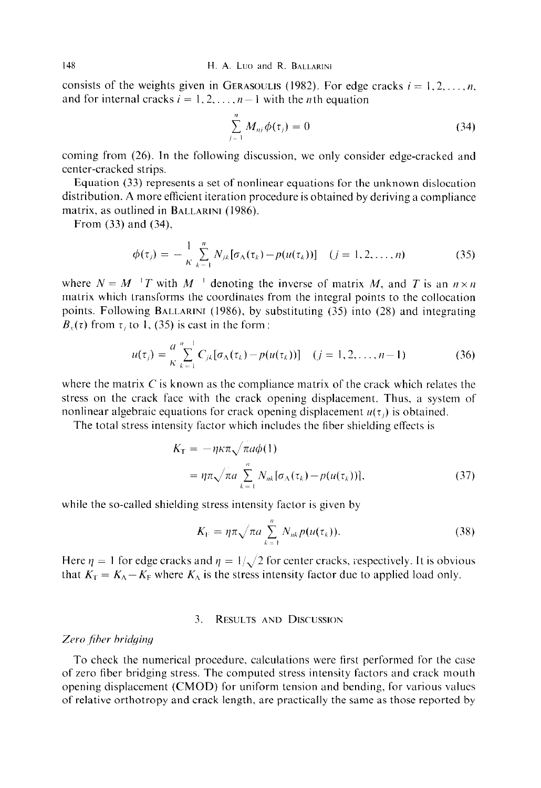consists of the weights given in GERASOULIS (1982). For edge cracks  $i = 1, 2, ..., n$ , and for internal cracks  $i = 1, 2, \ldots, n-1$  with the *n*th equation

$$
\sum_{j=1}^{n} M_{nj} \phi(\tau_j) = 0 \tag{34}
$$

coming from (26). In the following discussion, we only consider edge-cracked and center-cracked strips.

Equation (33) represents a set of nonlinear equations for the unknown dislocation distribution. A more efficient iteration procedure is obtained by deriving a compliance matrix, as outlined in BALLARINI (1986).

From (33) and (34),

$$
\phi(\tau_j) = -\frac{1}{\kappa} \sum_{k=1}^n N_{jk} [\sigma_{\Lambda}(\tau_k) - p(u(\tau_k))] \quad (j = 1, 2, ..., n)
$$
 (35)

where  $N = M^{-1}T$  with  $M^{-1}$  denoting the inverse of matrix M, and T is an  $n \times n$ matrix which transforms the coordinates from the integral points to the collocation points. Following BALLARINI (1986), by substituting (35) into (28) and integrating  $B_{y}(\tau)$  from  $\tau$ , to 1, (35) is cast in the form :

$$
u(\tau_j) = \frac{a^{n-1}}{\kappa} \sum_{k=1}^{n-1} C_{jk} [\sigma_{\Lambda}(\tau_k) - p(u(\tau_k))] \quad (j = 1, 2, \dots, n-1)
$$
 (36)

where the matrix  $C$  is known as the compliance matrix of the crack which relates the stress on the crack face with the crack opening displacement. Thus. a system of nonlinear algebraic equations for crack opening displacement  $u(\tau_i)$  is obtained.

The total stress intensity factor which includes the fiber shielding effects is

$$
K_{\rm T} = -\eta \kappa \pi \sqrt{\pi a \phi(1)}
$$
  
=  $\eta \pi \sqrt{\pi a} \sum_{k=1}^{n} N_{nk} [\sigma_{\Lambda}(\tau_k) - p(u(\tau_k))],$  (37)

while the so-called shielding stress intensity factor is given by

$$
K_{V} = \eta \pi \sqrt{\pi a} \sum_{k=1}^{n} N_{nk} p(u(\tau_k)).
$$
\n(38)

Here  $\eta = 1$  for edge cracks and  $\eta = 1/\sqrt{2}$  for center cracks, respectively. It is obvious that  $K_{\rm T} = K_{\rm A} - K_{\rm F}$  where  $K_{\rm A}$  is the stress intensity factor due to applied load only.

# 3. RESULTS AND DISCUSSION

## Zero fiber bridging

To check the numerical procedure, calculations were first performed for the case of zero fiber bridging stress. The computed stress intensity factors and crack mouth opening displacement (CMOD) for uniform tension and bending, for various values of relative orthotropy and crack length, are practically the same as those reported by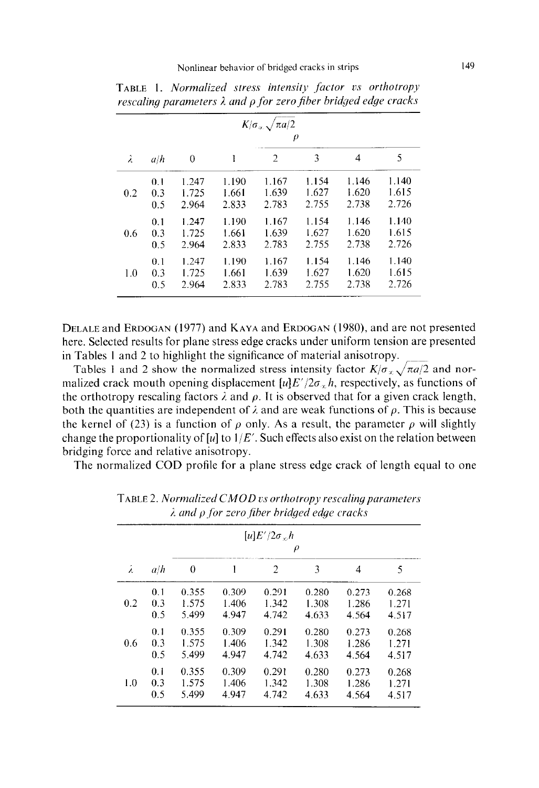|     |     | $K/\sigma_{\alpha} \sqrt{\pi a/2}$<br>$\rho$ |       |                |       |       |       |  |  |
|-----|-----|----------------------------------------------|-------|----------------|-------|-------|-------|--|--|
| λ   | a/h | $\theta$                                     |       | $\overline{2}$ | 3     | 4     | 5     |  |  |
| 0.2 | 0.1 | 1.247                                        | 1.190 | 1.167          | 1.154 | 1.146 | 1.140 |  |  |
|     | 0.3 | 1.725                                        | 1.661 | 1.639          | 1.627 | 1.620 | 1.615 |  |  |
|     | 0.5 | 2.964                                        | 2.833 | 2.783          | 2.755 | 2.738 | 2.726 |  |  |
| 0.6 | 0.1 | 1.247                                        | 1.190 | 1.167          | 1.154 | 1.146 | 1.140 |  |  |
|     | 0.3 | 1.725                                        | 1.661 | 1.639          | 1.627 | 1.620 | 1.615 |  |  |
|     | 0.5 | 2.964                                        | 2.833 | 2.783          | 2.755 | 2.738 | 2.726 |  |  |
| 1.0 | 0.1 | 1.247                                        | 1.190 | 1.167          | 1.154 | 1.146 | 1.140 |  |  |
|     | 0.3 | 1.725                                        | 1.661 | 1.639          | 1.627 | 1.620 | 1.615 |  |  |
|     | 0.5 | 2.964                                        | 2.833 | 2.783          | 2.755 | 2.738 | 2.726 |  |  |

TABLE 1. *Normalized stress intensity factor vs orthotropy resealing parameters A and p for* zero *fiber bridged edge cracks* 

DELALE and ERDOGAN (1977) and KAYA and ERDOCAN (1980), and are not presented here. Selected results for plane stress edge cracks under uniform tension are presented in Tables 1 and 2 to highlight the significance of material anisotropy.

Tables 1 and 2 show the normalized stress intensity factor  $K/\sigma_x \sqrt{\pi a/2}$  and normalized crack mouth opening displacement  $[u]E'/2\sigma_x h$ , respectively, as functions of the orthotropy rescaling factors  $\lambda$  and  $\rho$ . It is observed that for a given crack length, both the quantities are independent of  $\lambda$  and are weak functions of  $\rho$ . This is because the kernel of (23) is a function of  $\rho$  only. As a result, the parameter  $\rho$  will slightly change the proportionality of [u] to  $1/E'$ . Such effects also exist on the relation between bridging force and relative anisotropy.

The normalized COD profile for a plane stress edge crack of length equal to one

| λ   | a/h | $\lceil u \rceil E'/2\sigma$ , h<br>$\rho$ |       |                |       |       |       |  |  |
|-----|-----|--------------------------------------------|-------|----------------|-------|-------|-------|--|--|
|     |     | 0                                          |       | $\overline{2}$ | 3     | 4     | 5     |  |  |
| 0.2 | 0.1 | 0.355                                      | 0.309 | 0.291          | 0.280 | 0.273 | 0.268 |  |  |
|     | 0.3 | 1.575                                      | 1.406 | 1.342          | 1.308 | 1.286 | 1.271 |  |  |
|     | 0.5 | 5.499                                      | 4.947 | 4.742          | 4.633 | 4.564 | 4.517 |  |  |
| 0.6 | 0.1 | 0.355                                      | 0.309 | 0.291          | 0.280 | 0.273 | 0.268 |  |  |
|     | 0.3 | 1.575                                      | 1.406 | 1.342          | 1.308 | 1.286 | 1.271 |  |  |
|     | 0.5 | 5.499                                      | 4.947 | 4.742          | 4.633 | 4.564 | 4.517 |  |  |
| 1.0 | 0.1 | 0.355                                      | 0.309 | 0.291          | 0.280 | 0.273 | 0.268 |  |  |
|     | 0.3 | 1.575                                      | 1.406 | 1.342          | 1.308 | 1.286 | 1.271 |  |  |
|     | 0.5 | 5.499                                      | 4.947 | 4.742          | 4.633 | 4.564 | 4.517 |  |  |

TABLE 2. *Normalized CMOD vs orthotropy rescaling parameters j\_ and p,fbr zero,fiher hri&ed edge cracks*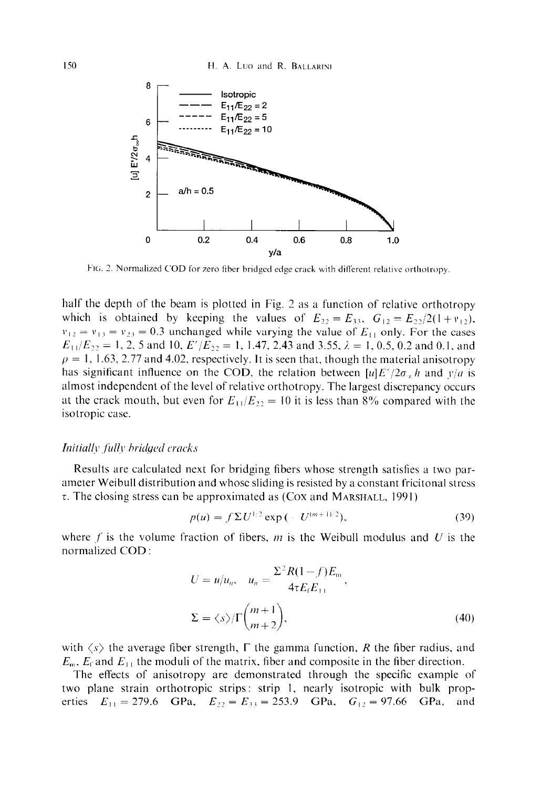

FIG. 2. Normalized COD **for zero fiber bridged edge crack with difl'erent relative orthotropy** 

half the depth of the beam is plotted in Fig. 2 as a function of relative orthotropy which is obtained by keeping the values of  $E_{22} = E_{33}$ ,  $G_{12} = E_{22}/2(1 + v_{12})$ ,  $v_{12} = v_{13} = v_{23} = 0.3$  unchanged while varying the value of  $E_{11}$  only. For the cases  $E_{11}/E_{22} = 1, 2, 5$  and 10,  $E'/E_{22} = 1, 1.47, 2.43$  and 3.55,  $\lambda = 1, 0.5, 0.2$  and 0.1, and  $p = 1, 1.63, 2.77$  and 4.02, respectively. It is seen that, though the material anisotropy has significant influence on the COD, the relation between  $[u]E'/2\sigma_x h$  and  $y/a$  is almost independent of the level of relative orthotropy. The largest discrepancy occurs at the crack mouth, but even for  $E_{11}/E_{22} = 10$  it is less than 8% compared with the isotropic case.

## Initially fully bridged cracks

Results are calculated next for bridging fibers whose strength satisfies a two parameter Weibull distribution and whose sliding is resisted by a constant fricitonal stress  $\tau$ . The closing stress can be approximated as (Cox and MARSHALL, 1991)

$$
p(u) = f \Sigma U^{1/2} \exp\left(-U^{(m+1)/2}\right),\tag{39}
$$

where f is the volume fraction of fibers, m is the Weibull modulus and U is the normalized COD :

$$
U = u/u_n, \quad u_n = \frac{\Sigma^2 R (1 - f) E_m}{4 \tau E_f E_{11}},
$$
  

$$
\Sigma = \langle s \rangle / \Gamma \binom{m + 1}{m + 2}, \tag{40}
$$

with  $\langle s \rangle$  the average fiber strength,  $\Gamma$  the gamma function, *R* the fiber radius, and  $E_{\rm m}$ ,  $E_{\rm f}$  and  $E_{\rm H}$ , the moduli of the matrix, fiber and composite in the fiber direction.

The effects of anisotropy are demonstrated through the specific example of two plane strain orthotropic strips: strip I, nearly isotropic with bulk properties  $E_{11} = 279.6$  GPa,  $E_{22} = E_{33} = 253.9$  GPa,  $G_{12} = 97.66$  GPa, and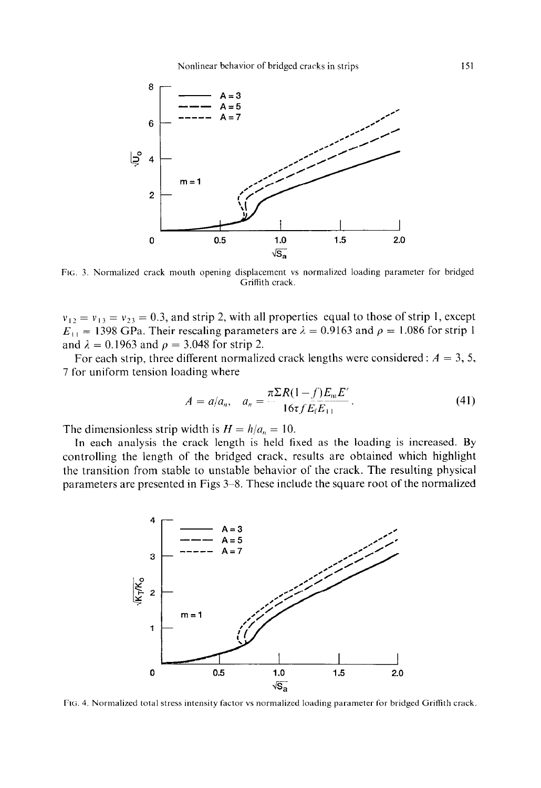

FIG. 3. Normalized crack mouth opening displacement vs normalized loading parameter for bridged Griffith crack.

 $v_{12} = v_{13} = v_{23} = 0.3$ , and strip 2, with all properties equal to those of strip 1, except  $E_{11} = 1398$  GPa. Their rescaling parameters are  $\lambda = 0.9163$  and  $\rho = 1.086$  for strip 1 and  $\lambda = 0.1963$  and  $\rho = 3.048$  for strip 2.

For each strip, three different normalized crack lengths were considered :  $A = 3, 5$ , 7 for uniform tension loading where

$$
A = a/a_n, \quad a_n = \frac{\pi \Sigma R (1 - f) E_m E'}{16\tau f E_f E_{11}}.
$$
\n(41)

The dimensionless strip width is  $H = h/a_n = 10$ .

In each analysis the crack length is held fixed as the loading is increased. By controlling the length of the bridged crack, results are obtained which highlight the transition from stable to unstable behavior of the crack. The resulting physical parameters are presented in Figs 3-8. These include the square root of the normalized



FIG. 4. Normalized total stress intensity factor vs normalized loading parameter for bridged Griffith crack.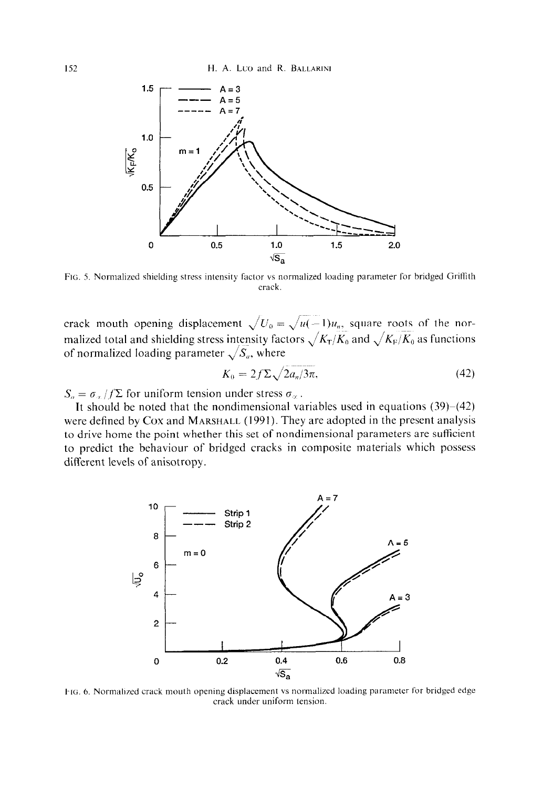

FIG. 5. Normalized shielding stress intensity factor vs normalized loading parameter for bridged Griffith crack.

crack mouth opening displacement  $\sqrt{U_0} = \sqrt{u(-1)}u_n$ , square roots of the normalized total and shielding stress intensity factors  $\sqrt{K_T/K_0}$  and  $\sqrt{K_F/K_0}$  as functions of normalized loading parameter  $\sqrt{S_a}$ , where

$$
K_0 = 2f\Sigma \sqrt{2a_n/3\pi},\tag{42}
$$

 $S_a = \sigma_{\alpha}/f\Sigma$  for uniform tension under stress  $\sigma_{\alpha}$ .

It should be noted that the nondimensional variables used in equations  $(39)–(42)$ were defined by Cox and MARSHALL (1991). They are adopted in the present analysis to drive home the point whether this set of nondimensional parameters are sufficient to predict the behaviour of bridged cracks in composite materials which possess different levels of anisotropy.



FIG. 6. Normalized crack mouth opening displacement vs normalized loading parameter for bridged edge crack under uniform tension.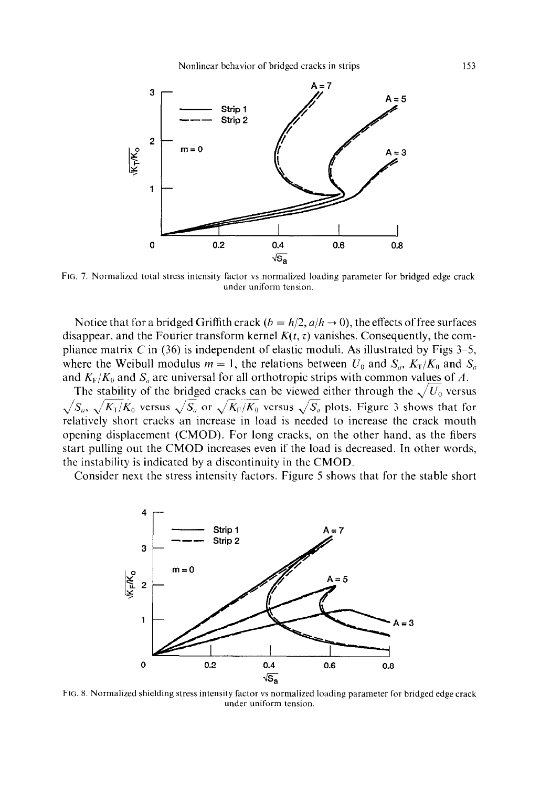

FIG. 7. Normalized total stress intensity factor vs normalized loading parameter for bridged edge crack under uniform tension.

Notice that for a bridged Griffith crack  $(b = h/2, a/h \rightarrow 0)$ , the effects of free surfaces disappear, and the Fourier transform kernel  $K(t, \tau)$  vanishes. Consequently, the compliance matrix C in  $(36)$  is independent of elastic moduli. As illustrated by Figs 3–5, where the Weibull modulus  $m = 1$ , the relations between  $U_0$  and  $S_a$ ,  $K_T/K_0$  and  $S_a$ and  $K_F/K_0$  and  $S_a$  are universal for all orthotropic strips with common values of A.

The stability of the bridged cracks can be viewed either through the  $\sqrt{U_0}$  versus  $\sqrt{S_a}$ ,  $\sqrt{K_T}/K_0$  versus  $\sqrt{S_a}$  or  $\sqrt{K_F/K_0}$  versus  $\sqrt{S_a}$  plots. Figure 3 shows that for relatively short cracks an increase in load is needed to increase the crack mouth opening displacement (CMOD). For long cracks, on the other hand, as the fibers start pulling out the CMOD increases even if the load is decreased. In other words, the instability is indicated by a discontinuity in the CMOD.

Consider next the stress intensity factors. Figure 5 shows that for the stable short



FIG. 8. Normalized shielding stress intensity factor vs normalized loading parameter for bridged edge crack under uniform tension.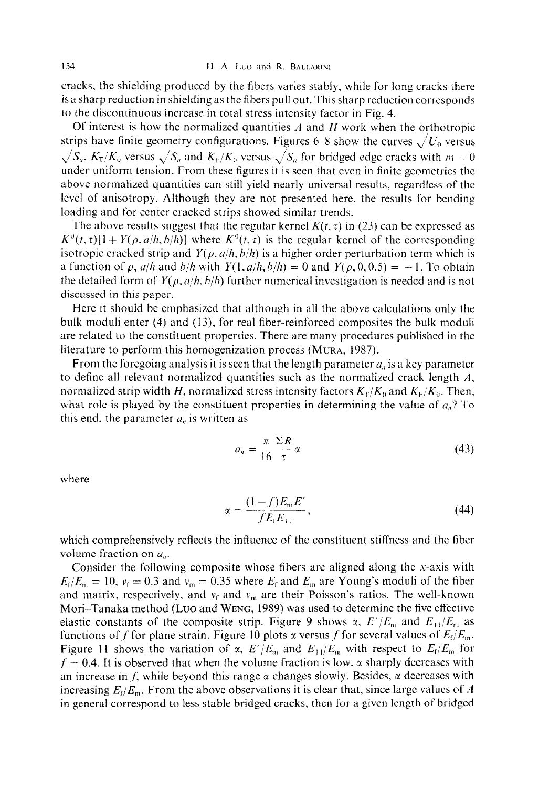cracks, the shielding produced by the fibers varies stably, while for long cracks there is a sharp reduction in shielding as the fibers pull out. This sharp reduction corresponds to the discontinuous increase in total stress intensity factor in Fig. 4.

Of interest is how the normalized quantities  $A$  and  $H$  work when the orthotropic strips have finite geometry configurations. Figures 6–8 show the curves  $\sqrt{U_0}$  versus  $\sqrt{S_a}$ ,  $K_T/K_0$  versus  $\sqrt{S_a}$  and  $K_F/K_0$  versus  $\sqrt{S_a}$  for bridged edge cracks with  $m = 0$ under uniform tension. From these figures it is seen that even in finite geometries the above normalized quantities can still yield nearly universal results, regardless of the level of anisotropy. Although they are not presented here, the results for bending loading and for center cracked strips showed similar trends.

The above results suggest that the regular kernel  $K(t, \tau)$  in (23) can be expressed as  $K^{0}(t, \tau)[1 + Y(\rho, a/h, b/h)]$  where  $K^{0}(t, \tau)$  is the regular kernel of the corresponding isotropic cracked strip and  $Y(\rho, a/h, b/h)$  is a higher order perturbation term which is a function of  $\rho$ ,  $a/h$  and  $b/h$  with  $Y(1, a/h, b/h) = 0$  and  $Y(\rho, 0, 0.5) = -1$ . To obtain the detailed form of  $Y(\rho, a/h, b/h)$  further numerical investigation is needed and is not discussed in this paper.

Here it should be emphasized that although in all the above calculations only the bulk moduli enter (4) and (13), for real fiber-reinforced composites the bulk moduli are related to the constituent properties. There are many procedures published in the literature to perform this homogenization process (MURA, 1987).

From the foregoing analysis it is seen that the length parameter  $a_n$  is a key parameter to define all relevant normalized quantities such as the normalized crack length  $A$ , normalized strip width H, normalized stress intensity factors  $K_T/K_0$  and  $K_F/K_0$ . Then, what role is played by the constituent properties in determining the value of  $a_n$ ? To this end, the parameter  $a_n$  is written as

$$
a_n = \frac{\pi \ \Sigma R}{16 \ \tau} \alpha \tag{43}
$$

where

$$
\alpha = \frac{(1-f)E_{m}E'}{fE_{f}E_{11}},
$$
\n(44)

which comprehensively reflects the influence of the constituent stiffness and the fiber volume fraction on  $a_n$ .

Consider the following composite whose fibers are aligned along the x-axis with  $E_f/E_m = 10$ ,  $v_f = 0.3$  and  $v_m = 0.35$  where  $E_f$  and  $E_m$  are Young's moduli of the fiber and matrix, respectively, and  $v_f$  and  $v_m$  are their Poisson's ratios. The well-known Mori-Tanaka method (Lvo and WENG, 1989) was used to determine the five effective elastic constants of the composite strip. Figure 9 shows  $\alpha$ ,  $E'/E_m$  and  $E_{11}/E_m$  as functions of f for plane strain. Figure 10 plots x versus f for several values of  $E_f/E_m$ . Figure 11 shows the variation of  $\alpha$ ,  $E'/E_m$  and  $E_{11}/E_m$  with respect to  $E_f/E_m$  for  $f = 0.4$ . It is observed that when the volume fraction is low,  $\alpha$  sharply decreases with an increase in *f*, while beyond this range  $\alpha$  changes slowly. Besides,  $\alpha$  decreases with increasing  $E_f/E_m$ . From the above observations it is clear that, since large values of A in general correspond to less stable bridged cracks, then for a given length of bridged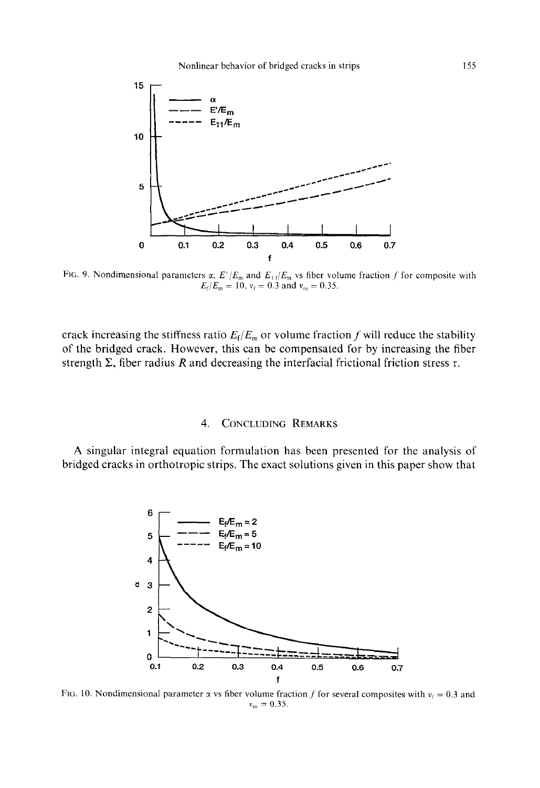

FIG. 9. Nondimensional parameters  $\alpha$ ,  $E'/E_m$  and  $E_{11}/E_m$  vs fiber volume fraction f for composite with  $E_f/E_m = 10$ ,  $v_f = 0.3$  and  $v_m = 0.35$ .

crack increasing the stiffness ratio  $E_f/E_m$  or volume fraction f will reduce the stability of the bridged crack. However, this can be compensated for by increasing the fiber strength  $\Sigma$ , fiber radius *R* and decreasing the interfacial frictional friction stress  $\tau$ .

### 4. **CONCLUDING REMARKS**

A singular integral equation formulation has been presented for the analysis of bridged cracks in orthotropic strips. The exact solutions given in this paper show that



FIG. 10. Nondimensional parameter x vs fiber volume fraction f for several composites with  $v_f = 0.3$  and  $v_m = 0.35.$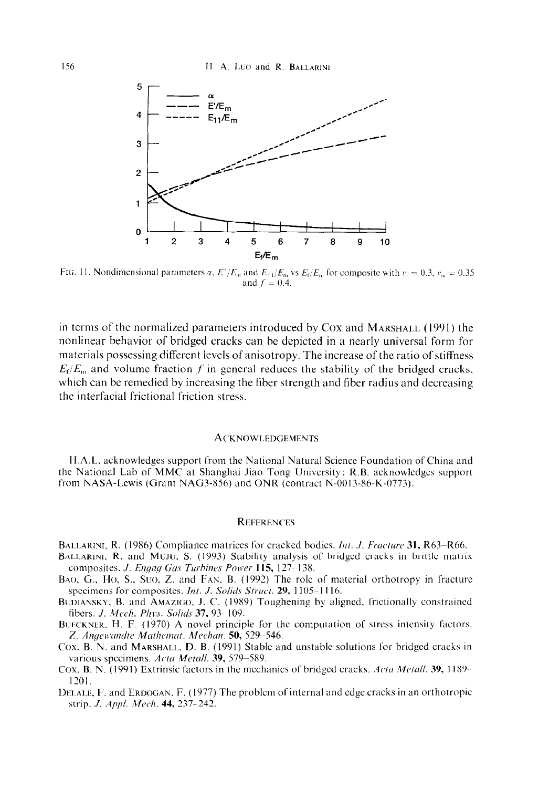

FIG. 11. Nondimensional parameters  $\alpha$ ,  $E'/E_m$ , and  $E_{11}/E_m$ , vs  $E_f/E_m$  for composite with  $v_f = 0.3$ ,  $v_m = 0.35$ and  $f = 0.4$ .

in terms of the normalized parameters introduced by Cox and MARSHALL (1991) the nonlinear behavior of bridged cracks can be depicted in a nearly universal form for materials possessing different levels of anisotropy. The increase of the ratio of stiffness  $E_f/E_m$  and volume fraction f in general reduces the stability of the bridged cracks, which can be remedied by increasing the fiber strength and fiber radius and decreasing the interfacial frictional friction stress.

#### **ACKNOWLEDGEMENTS**

H.A.L. acknowledges support from the National Natural Science Foundation of China and the National Lab of MMC at Shanghai Jiao Tong University; R.B. acknowledges support from NASA-Lewis (Grant NAG3-856) and ONR (contract N-0013-86-K-0773).

#### **REFERENCES**

BALLARINI, R. (1986) Compliance matrices for cracked bodies. *Int. J. Fracture* 31, R63–R66.

- BALLARINI, R. and MUJU, S. (1993) Stability analysis of bridged cracks in brittle matrix composites. *J. Engng Gas Turbines Power* 115, 127-138.
- **BAO.** *G.,* Ho, S.. Sue, Z. and FAS. B. (1992) The role of material orthotropy in fracture specimens for composites. *Int. J. Solids Struct.* 29, 1105-1116.
- BUDIANSKY, B. and AMAZIGO, J. C. (1989) Toughening by aligned. frictionally constrained fibers. *J. Mrch. Phl~s. Solich* 37, 93 109.
- BUECKNER, H. F. (1970) A novel principle for the computation of stress intensity factors. Z. *Angewandte Mathemat. Mechan*. **50,** 529–546.
- Cox. B. N. and MARSHALL, D. B. (1991) Stable and unstable solutions for bridged cracks in various specimens. *Acta Metall*. **39,** 579-589.
- Cox, B. N. (1991) Extrinsic factors in the mechanics of bridged cracks. Acta Metall. 39, 1189-1301.
- DELALE, F. and ERDOGAN, F. (1977) The problem of internal and edge cracks in an orthotropic strip. *J. Appl. Mech.* **44,** 237-242.